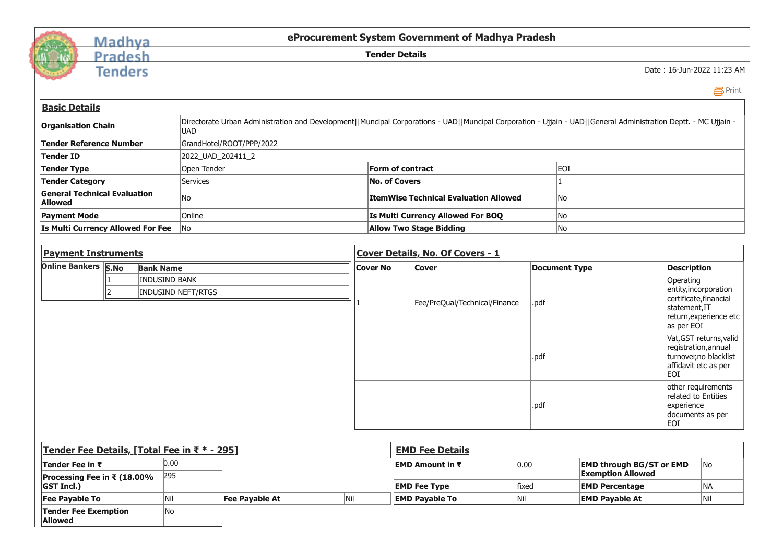

## Madhya Pradesh

**Tenders** 

**eProcurement System Government of Madhya Pradesh**

**Tender Details**

Date : 16-Jun-2022 11:23 AM

Print

| <b>Basic Details</b>                                    |  |            |                                                                                                                                                                 |     |                                         |                                       |       |                                                             |                                                                                                                      |                                                                                                   |  |  |
|---------------------------------------------------------|--|------------|-----------------------------------------------------------------------------------------------------------------------------------------------------------------|-----|-----------------------------------------|---------------------------------------|-------|-------------------------------------------------------------|----------------------------------------------------------------------------------------------------------------------|---------------------------------------------------------------------------------------------------|--|--|
| <b>Organisation Chain</b>                               |  | <b>UAD</b> | Directorate Urban Administration and Development  Muncipal Corporations - UAD  Muncipal Corporation - Ujjain - UAD  General Administration Deptt. - MC Ujjain - |     |                                         |                                       |       |                                                             |                                                                                                                      |                                                                                                   |  |  |
| <b>Tender Reference Number</b>                          |  |            | GrandHotel/ROOT/PPP/2022                                                                                                                                        |     |                                         |                                       |       |                                                             |                                                                                                                      |                                                                                                   |  |  |
| <b>Tender ID</b>                                        |  |            | 2022 UAD 202411 2                                                                                                                                               |     |                                         |                                       |       |                                                             |                                                                                                                      |                                                                                                   |  |  |
| <b>Tender Type</b>                                      |  |            | Open Tender                                                                                                                                                     |     |                                         | <b>Form of contract</b>               |       | EOI                                                         |                                                                                                                      |                                                                                                   |  |  |
| <b>Tender Category</b>                                  |  | Services   |                                                                                                                                                                 |     |                                         | <b>No. of Covers</b>                  |       |                                                             |                                                                                                                      |                                                                                                   |  |  |
| <b>General Technical Evaluation</b><br><b>Allowed</b>   |  | <b>No</b>  |                                                                                                                                                                 |     |                                         | ItemWise Technical Evaluation Allowed |       | No                                                          |                                                                                                                      |                                                                                                   |  |  |
| <b>Payment Mode</b>                                     |  | Online     |                                                                                                                                                                 |     |                                         | Is Multi Currency Allowed For BOQ     |       | No                                                          |                                                                                                                      |                                                                                                   |  |  |
| Is Multi Currency Allowed For Fee                       |  | No         |                                                                                                                                                                 |     |                                         | <b>Allow Two Stage Bidding</b>        |       | No                                                          |                                                                                                                      |                                                                                                   |  |  |
|                                                         |  |            |                                                                                                                                                                 |     |                                         |                                       |       |                                                             |                                                                                                                      |                                                                                                   |  |  |
| <b>Payment Instruments</b>                              |  |            |                                                                                                                                                                 |     | <b>Cover Details, No. Of Covers - 1</b> |                                       |       |                                                             |                                                                                                                      |                                                                                                   |  |  |
| <b>Online Bankers S.No</b><br><b>Bank Name</b>          |  |            |                                                                                                                                                                 |     |                                         | Cover                                 |       | <b>Document Type</b>                                        |                                                                                                                      | <b>Description</b>                                                                                |  |  |
| <b>INDUSIND BANK</b><br>l2<br><b>INDUSIND NEFT/RTGS</b> |  |            |                                                                                                                                                                 |     |                                         | Fee/PreQual/Technical/Finance         | .pdf  |                                                             | Operating<br>entity, incorporation<br>certificate, financial<br>statement,IT<br>return, experience etc<br>as per EOI |                                                                                                   |  |  |
|                                                         |  |            |                                                                                                                                                                 |     |                                         |                                       | .pdf  |                                                             | EOI                                                                                                                  | Vat, GST returns, valid<br>registration, annual<br>turnover, no blacklist<br>affidavit etc as per |  |  |
|                                                         |  |            |                                                                                                                                                                 |     |                                         |                                       | .pdf  |                                                             | experience<br>documents as per<br>EOI                                                                                | other requirements<br>related to Entities                                                         |  |  |
| Tender Fee Details, [Total Fee in ₹ * - 295]            |  |            |                                                                                                                                                                 |     |                                         | <b>EMD Fee Details</b>                |       |                                                             |                                                                                                                      |                                                                                                   |  |  |
| 0.00<br>Tender Fee in ₹                                 |  |            |                                                                                                                                                                 |     | EMD Amount in ₹                         |                                       | 0.00  | <b>EMD through BG/ST or EMD</b><br><b>Exemption Allowed</b> |                                                                                                                      | No                                                                                                |  |  |
| Processing Fee in ₹ (18.00%<br><b>GST Incl.)</b>        |  | 295        |                                                                                                                                                                 |     | <b>EMD Fee Type</b>                     |                                       | fixed | <b>EMD Percentage</b>                                       |                                                                                                                      | NA                                                                                                |  |  |
| <b>Fee Payable To</b>                                   |  | Nil        | <b>Fee Payable At</b>                                                                                                                                           | Nil |                                         | <b>EMD Payable To</b>                 | Nil   | <b>EMD Payable At</b>                                       |                                                                                                                      | Nil                                                                                               |  |  |
| <b>Tender Fee Exemption</b><br><b>Allowed</b>           |  | No         |                                                                                                                                                                 |     |                                         |                                       |       |                                                             |                                                                                                                      |                                                                                                   |  |  |